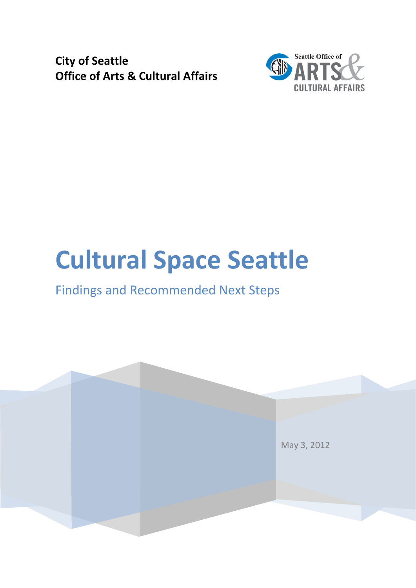**City of Seattle Office of Arts & Cultural Affairs**



# **Cultural Space Seattle**

## Findings and Recommended Next Steps

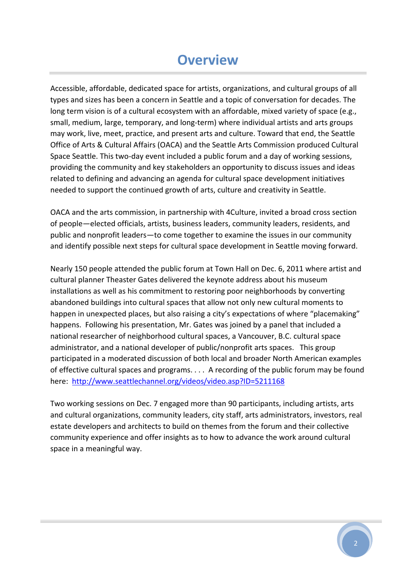### **Overview**

Accessible, affordable, dedicated space for artists, organizations, and cultural groups of all types and sizes has been a concern in Seattle and a topic of conversation for decades. The long term vision is of a cultural ecosystem with an affordable, mixed variety of space (e.g., small, medium, large, temporary, and long-term) where individual artists and arts groups may work, live, meet, practice, and present arts and culture. Toward that end, the Seattle Office of Arts & Cultural Affairs (OACA) and the Seattle Arts Commission produced Cultural Space Seattle. This two-day event included a public forum and a day of working sessions, providing the community and key stakeholders an opportunity to discuss issues and ideas related to defining and advancing an agenda for cultural space development initiatives needed to support the continued growth of arts, culture and creativity in Seattle.

OACA and the arts commission, in partnership with 4Culture, invited a broad cross section of people—elected officials, artists, business leaders, community leaders, residents, and public and nonprofit leaders—to come together to examine the issues in our community and identify possible next steps for cultural space development in Seattle moving forward.

Nearly 150 people attended the public forum at Town Hall on Dec. 6, 2011 where artist and cultural planner Theaster Gates delivered the keynote address about his museum installations as well as his commitment to restoring poor neighborhoods by converting abandoned buildings into cultural spaces that allow not only new cultural moments to happen in unexpected places, but also raising a city's expectations of where "placemaking" happens. Following his presentation, Mr. Gates was joined by a panel that included a national researcher of neighborhood cultural spaces, a Vancouver, B.C. cultural space administrator, and a national developer of public/nonprofit arts spaces. This group participated in a moderated discussion of both local and broader North American examples of effective cultural spaces and programs. . . . A recording of the public forum may be found here: <http://www.seattlechannel.org/videos/video.asp?ID=5211168>

Two working sessions on Dec. 7 engaged more than 90 participants, including artists, arts and cultural organizations, community leaders, city staff, arts administrators, investors, real estate developers and architects to build on themes from the forum and their collective community experience and offer insights as to how to advance the work around cultural space in a meaningful way.

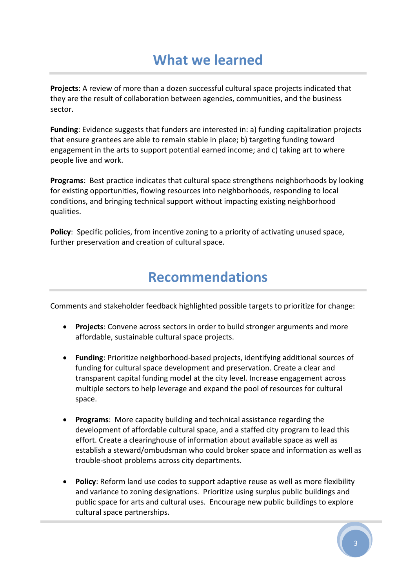# **What we learned**

**Projects**: A review of more than a dozen successful cultural space projects indicated that they are the result of collaboration between agencies, communities, and the business sector.

**Funding**: Evidence suggests that funders are interested in: a) funding capitalization projects that ensure grantees are able to remain stable in place; b) targeting funding toward engagement in the arts to support potential earned income; and c) taking art to where people live and work.

**Programs**: Best practice indicates that cultural space strengthens neighborhoods by looking for existing opportunities, flowing resources into neighborhoods, responding to local conditions, and bringing technical support without impacting existing neighborhood qualities.

**Policy:** Specific policies, from incentive zoning to a priority of activating unused space, further preservation and creation of cultural space.

### **Recommendations**

Comments and stakeholder feedback highlighted possible targets to prioritize for change:

- **Projects**: Convene across sectors in order to build stronger arguments and more affordable, sustainable cultural space projects.
- **Funding**: Prioritize neighborhood‐based projects, identifying additional sources of funding for cultural space development and preservation. Create a clear and transparent capital funding model at the city level. Increase engagement across multiple sectors to help leverage and expand the pool of resources for cultural space.
- **Programs**: More capacity building and technical assistance regarding the development of affordable cultural space, and a staffed city program to lead this effort. Create a clearinghouse of information about available space as well as establish a steward/ombudsman who could broker space and information as well as trouble‐shoot problems across city departments.
- **Policy**: Reform land use codes to support adaptive reuse as well as more flexibility and variance to zoning designations. Prioritize using surplus public buildings and public space for arts and cultural uses. Encourage new public buildings to explore cultural space partnerships.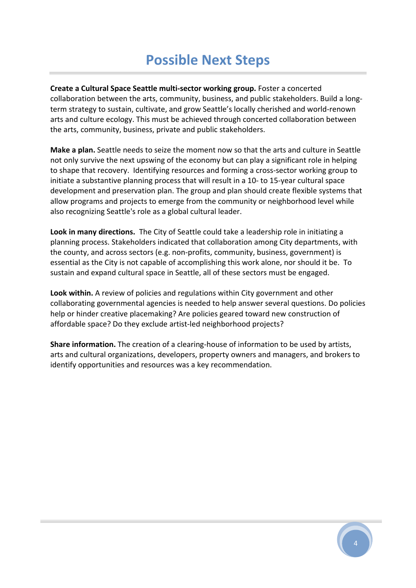# **Possible Next Steps**

**Create a Cultural Space Seattle multi‐sector working group.** Foster a concerted collaboration between the arts, community, business, and public stakeholders. Build a long‐ term strategy to sustain, cultivate, and grow Seattle's locally cherished and world‐renown arts and culture ecology. This must be achieved through concerted collaboration between the arts, community, business, private and public stakeholders.

**Make a plan.** Seattle needs to seize the moment now so that the arts and culture in Seattle not only survive the next upswing of the economy but can play a significant role in helping to shape that recovery. Identifying resources and forming a cross‐sector working group to initiate a substantive planning process that will result in a 10‐ to 15‐year cultural space development and preservation plan. The group and plan should create flexible systems that allow programs and projects to emerge from the community or neighborhood level while also recognizing Seattle's role as a global cultural leader.

**Look in many directions.** The City of Seattle could take a leadership role in initiating a planning process. Stakeholders indicated that collaboration among City departments, with the county, and across sectors (e.g. non‐profits, community, business, government) is essential as the City is not capable of accomplishing this work alone, nor should it be. To sustain and expand cultural space in Seattle, all of these sectors must be engaged.

**Look within.** A review of policies and regulations within City government and other collaborating governmental agencies is needed to help answer several questions. Do policies help or hinder creative placemaking? Are policies geared toward new construction of affordable space? Do they exclude artist‐led neighborhood projects?

**Share information.** The creation of a clearing‐house of information to be used by artists, arts and cultural organizations, developers, property owners and managers, and brokers to identify opportunities and resources was a key recommendation.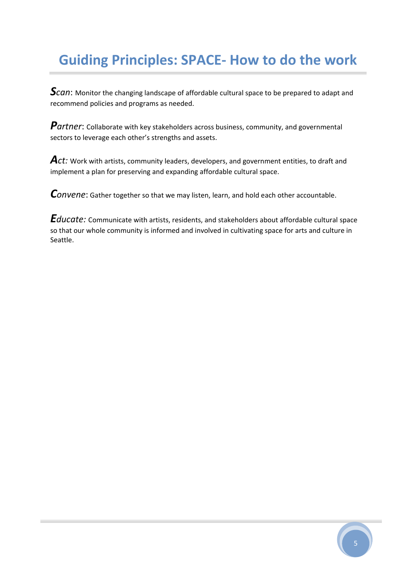# **Guiding Principles: SPACE‐ How to do the work**

**S***can*: Monitor the changing landscape of affordable cultural space to be prepared to adapt and recommend policies and programs as needed.

Partner: Collaborate with key stakeholders across business, community, and governmental sectors to leverage each other's strengths and assets.

Act: Work with artists, community leaders, developers, and government entities, to draft and implement a plan for preserving and expanding affordable cultural space.

*Convene*: Gather together so that we may listen, learn, and hold each other accountable.

*Educate:* Communicate with artists, residents, and stakeholders about affordable cultural space so that our whole community is informed and involved in cultivating space for arts and culture in Seattle.

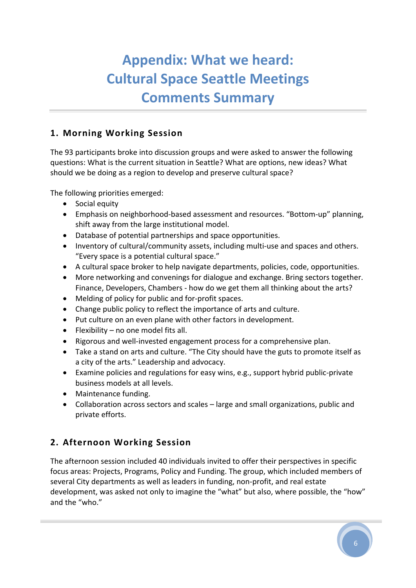# **Appendix: What we heard: Cultural Space Seattle Meetings Comments Summary**

#### **1. Morning Working Session**

The 93 participants broke into discussion groups and were asked to answer the following questions: What is the current situation in Seattle? What are options, new ideas? What should we be doing as a region to develop and preserve cultural space?

The following priorities emerged:

- Social equity
- Emphasis on neighborhood‐based assessment and resources. "Bottom‐up" planning, shift away from the large institutional model.
- Database of potential partnerships and space opportunities.
- Inventory of cultural/community assets, including multi‐use and spaces and others. "Every space is a potential cultural space."
- A cultural space broker to help navigate departments, policies, code, opportunities.
- More networking and convenings for dialogue and exchange. Bring sectors together. Finance, Developers, Chambers ‐ how do we get them all thinking about the arts?
- Melding of policy for public and for-profit spaces.
- Change public policy to reflect the importance of arts and culture.
- Put culture on an even plane with other factors in development.
- Flexibility no one model fits all.
- Rigorous and well‐invested engagement process for a comprehensive plan.
- Take a stand on arts and culture. "The City should have the guts to promote itself as a city of the arts." Leadership and advocacy.
- Examine policies and regulations for easy wins, e.g., support hybrid public‐private business models at all levels.
- Maintenance funding.
- Collaboration across sectors and scales large and small organizations, public and private efforts.

#### **2. Afternoon Working Session**

The afternoon session included 40 individuals invited to offer their perspectives in specific focus areas: Projects, Programs, Policy and Funding. The group, which included members of several City departments as well as leaders in funding, non‐profit, and real estate development, was asked not only to imagine the "what" but also, where possible, the "how" and the "who."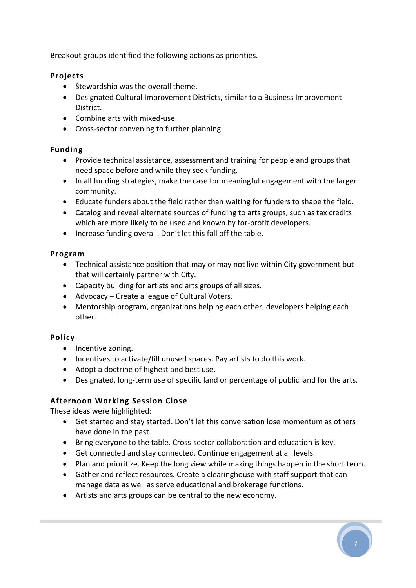Breakout groups identified the following actions as priorities.

#### **Projects**

- Stewardship was the overall theme.
- Designated Cultural Improvement Districts, similar to a Business Improvement District.
- Combine arts with mixed‐use.
- Cross‐sector convening to further planning.

#### **Funding**

- Provide technical assistance, assessment and training for people and groups that need space before and while they seek funding.
- In all funding strategies, make the case for meaningful engagement with the larger community.
- Educate funders about the field rather than waiting for funders to shape the field.
- Catalog and reveal alternate sources of funding to arts groups, such as tax credits which are more likely to be used and known by for-profit developers.
- Increase funding overall. Don't let this fall off the table.

#### **Program**

- Technical assistance position that may or may not live within City government but that will certainly partner with City.
- Capacity building for artists and arts groups of all sizes.
- Advocacy Create a league of Cultural Voters.
- Mentorship program, organizations helping each other, developers helping each other.

#### **Policy**

- Incentive zoning.
- Incentives to activate/fill unused spaces. Pay artists to do this work.
- Adopt a doctrine of highest and best use.
- Designated, long‐term use of specific land or percentage of public land for the arts.

#### **Afternoon Working Session Close**

These ideas were highlighted:

- Get started and stay started. Don't let this conversation lose momentum as others have done in the past.
- Bring everyone to the table. Cross‐sector collaboration and education is key.
- Get connected and stay connected. Continue engagement at all levels.
- Plan and prioritize. Keep the long view while making things happen in the short term.
- Gather and reflect resources. Create a clearinghouse with staff support that can manage data as well as serve educational and brokerage functions.
- Artists and arts groups can be central to the new economy.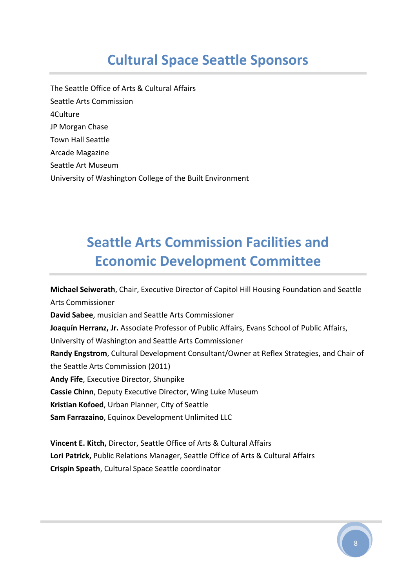# **Cultural Space Seattle Sponsors**

The Seattle Office of Arts & Cultural Affairs Seattle Arts Commission 4Culture JP Morgan Chase Town Hall Seattle Arcade Magazine Seattle Art Museum University of Washington College of the Built Environment

# **Seattle Arts Commission Facilities and Economic Development Committee**

**Michael Seiwerath**, Chair, Executive Director of Capitol Hill Housing Foundation and Seattle Arts Commissioner **David Sabee**, musician and Seattle Arts Commissioner **Joaquín Herranz, Jr.** Associate Professor of Public Affairs, Evans School of Public Affairs, University of Washington and Seattle Arts Commissioner **Randy Engstrom**, Cultural Development Consultant/Owner at Reflex Strategies, and Chair of the Seattle Arts Commission (2011) **Andy Fife**, Executive Director, Shunpike **Cassie Chinn**, Deputy Executive Director, Wing Luke Museum **Kristian Kofoed**, Urban Planner, City of Seattle **Sam Farrazaino**, Equinox Development Unlimited LLC

**Vincent E. Kitch,** Director, Seattle Office of Arts & Cultural Affairs **Lori Patrick,** Public Relations Manager, Seattle Office of Arts & Cultural Affairs **Crispin Speath**, Cultural Space Seattle coordinator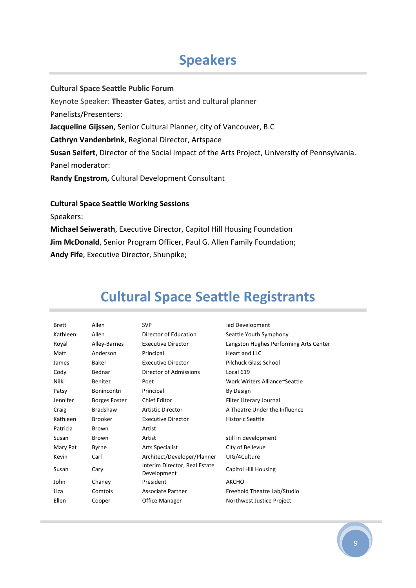### **Speakers**

#### **Cultural Space Seattle Public Forum**

Keynote Speaker: **Theaster Gates**, artist and cultural planner Panelists/Presenters: **Jacqueline Gijssen**, Senior Cultural Planner, city of Vancouver, B.C **Cathryn Vandenbrink**, Regional Director, Artspace **Susan Seifert**, Director of the Social Impact of the Arts Project, University of Pennsylvania. Panel moderator:

**Randy Engstrom,** Cultural Development Consultant

#### **Cultural Space Seattle Working Sessions**

Speakers:

**Michael Seiwerath**, Executive Director, Capitol Hill Housing Foundation **Jim McDonald**, Senior Program Officer, Paul G. Allen Family Foundation; **Andy Fife**, Executive Director, Shunpike;

| <b>Brett</b> | Allen                | <b>SVP</b>                                   | iad Development                        |
|--------------|----------------------|----------------------------------------------|----------------------------------------|
| Kathleen     | Allen                | Director of Education                        | Seattle Youth Symphony                 |
| Royal        | Alley-Barnes         | <b>Executive Director</b>                    | Langston Hughes Performing Arts Center |
| Matt         | Anderson             | Principal                                    | <b>Heartland LLC</b>                   |
| James        | Baker                | <b>Executive Director</b>                    | <b>Pilchuck Glass School</b>           |
| Cody         | Bednar               | Director of Admissions                       | Local 619                              |
| Nilki        | <b>Benitez</b>       | Poet                                         | Work Writers Alliance~Seattle          |
| Patsy        | <b>Bonincontri</b>   | Principal                                    | By Design                              |
| Jennifer     | <b>Borges Foster</b> | <b>Chief Editor</b>                          | Filter Literary Journal                |
| Craig        | <b>Bradshaw</b>      | <b>Artistic Director</b>                     | A Theatre Under the Influence          |
| Kathleen     | <b>Brooker</b>       | <b>Executive Director</b>                    | <b>Historic Seattle</b>                |
| Patricia     | Brown                | Artist                                       |                                        |
| Susan        | Brown                | Artist                                       | still in development                   |
| Mary Pat     | Byrne                | <b>Arts Specialist</b>                       | City of Bellevue                       |
| Kevin        | Carl                 | Architect/Developer/Planner                  | UIG/4Culture                           |
| Susan        | Cary                 | Interim Director, Real Estate<br>Development | Capitol Hill Housing                   |
| John         | Chaney               | President                                    | <b>AKCHO</b>                           |
| Liza         | Comtois              | Associate Partner                            | Freehold Theatre Lab/Studio            |
| Ellen        | Cooper               | Office Manager                               | Northwest Justice Project              |
|              |                      |                                              |                                        |

# **Cultural Space Seattle Registrants**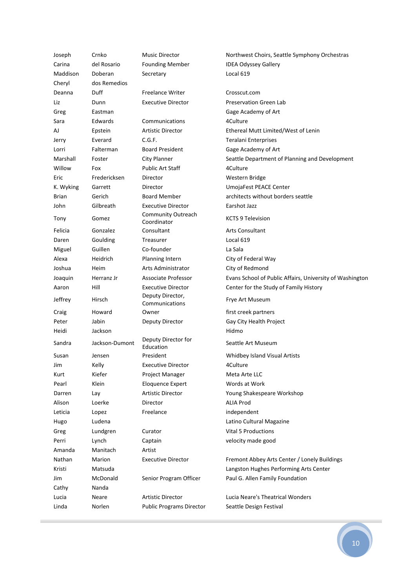| Joseph    | Crnko          | <b>Music Director</b>              | Northwest Choirs, Seattle Symphony Orchestras            |
|-----------|----------------|------------------------------------|----------------------------------------------------------|
| Carina    | del Rosario    | <b>Founding Member</b>             | <b>IDEA Odyssey Gallery</b>                              |
| Maddison  | Doberan        | Secretary                          | Local 619                                                |
| Cheryl    | dos Remedios   |                                    |                                                          |
| Deanna    | Duff           | <b>Freelance Writer</b>            | Crosscut.com                                             |
| Liz       | Dunn           | <b>Executive Director</b>          | <b>Preservation Green Lab</b>                            |
| Greg      | Eastman        |                                    | Gage Academy of Art                                      |
| Sara      | Edwards        | Communications                     | 4Culture                                                 |
| AJ        | Epstein        | <b>Artistic Director</b>           | Ethereal Mutt Limited/West of Lenin                      |
| Jerry     | Everard        | C.G.F.                             | Teralani Enterprises                                     |
| Lorri     | Falterman      | <b>Board President</b>             | Gage Academy of Art                                      |
| Marshall  | Foster         | City Planner                       | Seattle Department of Planning and Development           |
| Willow    | Fox            | <b>Public Art Staff</b>            | 4Culture                                                 |
| Eric      | Fredericksen   | Director                           | Western Bridge                                           |
| K. Wyking | Garrett        | Director                           | UmojaFest PEACE Center                                   |
| Brian     | Gerich         | <b>Board Member</b>                | architects without borders seattle                       |
| John      | Gilbreath      | <b>Executive Director</b>          | Earshot Jazz                                             |
| Tony      | Gomez          | Community Outreach<br>Coordinator  | <b>KCTS 9 Television</b>                                 |
| Felicia   | Gonzalez       | Consultant                         | <b>Arts Consultant</b>                                   |
| Daren     | Goulding       | Treasurer                          | Local 619                                                |
| Miguel    | Guillen        | Co-founder                         | La Sala                                                  |
| Alexa     | Heidrich       | Planning Intern                    | City of Federal Way                                      |
| Joshua    | Heim           | Arts Administrator                 | City of Redmond                                          |
| Joaquin   | Herranz Jr     | Associate Professor                | Evans School of Public Affairs, University of Washington |
| Aaron     | Hill           | <b>Executive Director</b>          |                                                          |
|           |                |                                    | Center for the Study of Family History                   |
| Jeffrey   | Hirsch         | Deputy Director,<br>Communications | Frye Art Museum                                          |
| Craig     | Howard         | Owner                              | first creek partners                                     |
| Peter     | Jabin          | Deputy Director                    | Gay City Health Project                                  |
| Heidi     | Jackson        |                                    | Hidmo                                                    |
| Sandra    | Jackson-Dumont | Deputy Director for<br>Education   | Seattle Art Museum                                       |
| Susan     | Jensen         | President                          | Whidbey Island Visual Artists                            |
| Jim       | Kelly          | <b>Executive Director</b>          | 4Culture                                                 |
| Kurt      | Kiefer         | Project Manager                    | Meta Arte LLC                                            |
| Pearl     | Klein          | <b>Eloquence Expert</b>            | Words at Work                                            |
| Darren    | Lay            | <b>Artistic Director</b>           | Young Shakespeare Workshop                               |
| Alison    | Loerke         | Director                           | <b>ALIA Prod</b>                                         |
| Leticia   | Lopez          | Freelance                          | independent                                              |
| Hugo      | Ludena         |                                    | Latino Cultural Magazine                                 |
| Greg      | Lundgren       | Curator                            | <b>Vital 5 Productions</b>                               |
| Perri     | Lynch          | Captain                            | velocity made good                                       |
| Amanda    | Manitach       | Artist                             |                                                          |
| Nathan    | Marion         | <b>Executive Director</b>          | Fremont Abbey Arts Center / Lonely Buildings             |
| Kristi    | Matsuda        |                                    | Langston Hughes Performing Arts Center                   |
| Jim       | McDonald       | Senior Program Officer             | Paul G. Allen Family Foundation                          |
| Cathy     | Nanda          |                                    |                                                          |
| Lucia     | Neare          | Artistic Director                  | Lucia Neare's Theatrical Wonders                         |
| Linda     | Norlen         | <b>Public Programs Director</b>    | Seattle Design Festival                                  |